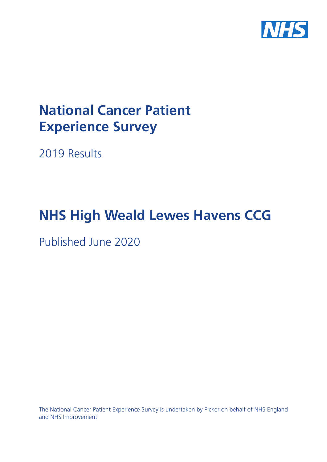

# **National Cancer Patient Experience Survey**

2019 Results

# **NHS High Weald Lewes Havens CCG**

Published June 2020

The National Cancer Patient Experience Survey is undertaken by Picker on behalf of NHS England and NHS Improvement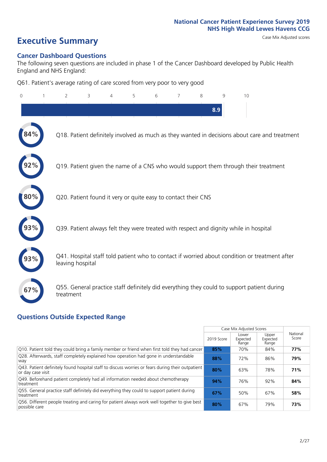# **Executive Summary** Case Mix Adjusted scores

#### **Cancer Dashboard Questions**

The following seven questions are included in phase 1 of the Cancer Dashboard developed by Public Health England and NHS England:

Q61. Patient's average rating of care scored from very poor to very good

| $\Omega$ | 2                                                             | 3 | $\overline{4}$ | 5 | 6 | 8 | 9   | 10                                                                                            |  |
|----------|---------------------------------------------------------------|---|----------------|---|---|---|-----|-----------------------------------------------------------------------------------------------|--|
|          |                                                               |   |                |   |   |   | 8.9 |                                                                                               |  |
|          |                                                               |   |                |   |   |   |     | Q18. Patient definitely involved as much as they wanted in decisions about care and treatment |  |
|          |                                                               |   |                |   |   |   |     | Q19. Patient given the name of a CNS who would support them through their treatment           |  |
| 80%      | Q20. Patient found it very or quite easy to contact their CNS |   |                |   |   |   |     |                                                                                               |  |
|          |                                                               |   |                |   |   |   |     | Q39. Patient always felt they were treated with respect and dignity while in hospital         |  |
|          | leaving hospital                                              |   |                |   |   |   |     | Q41. Hospital staff told patient who to contact if worried about condition or treatment after |  |
| 67%      | treatment                                                     |   |                |   |   |   |     | Q55. General practice staff definitely did everything they could to support patient during    |  |

### **Questions Outside Expected Range**

|                                                                                                                       |            | Case Mix Adjusted Scores   |                            |                   |
|-----------------------------------------------------------------------------------------------------------------------|------------|----------------------------|----------------------------|-------------------|
|                                                                                                                       | 2019 Score | Lower<br>Expected<br>Range | Upper<br>Expected<br>Range | National<br>Score |
| Q10. Patient told they could bring a family member or friend when first told they had cancer                          | 85%        | 70%                        | 84%                        | 77%               |
| Q28. Afterwards, staff completely explained how operation had gone in understandable<br>way                           | 88%        | 72%                        | 86%                        | 79%               |
| Q43. Patient definitely found hospital staff to discuss worries or fears during their outpatient<br>or day case visit | 80%        | 63%                        | 78%                        | 71%               |
| Q49. Beforehand patient completely had all information needed about chemotherapy<br>treatment                         | 94%        | 76%                        | 92%                        | 84%               |
| Q55. General practice staff definitely did everything they could to support patient during<br>treatment               | 67%        | 50%                        | 67%                        | 58%               |
| Q56. Different people treating and caring for patient always work well together to give best<br>possible care         | 80%        | 67%                        | 79%                        | 73%               |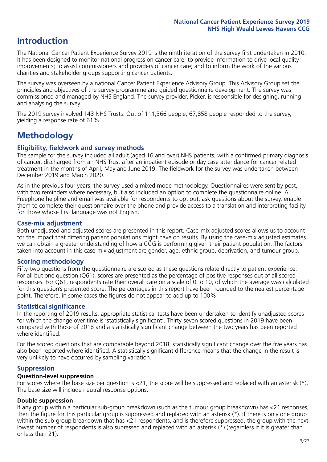## **Introduction**

The National Cancer Patient Experience Survey 2019 is the ninth iteration of the survey first undertaken in 2010. It has been designed to monitor national progress on cancer care; to provide information to drive local quality improvements; to assist commissioners and providers of cancer care; and to inform the work of the various charities and stakeholder groups supporting cancer patients.

The survey was overseen by a national Cancer Patient Experience Advisory Group. This Advisory Group set the principles and objectives of the survey programme and guided questionnaire development. The survey was commissioned and managed by NHS England. The survey provider, Picker, is responsible for designing, running and analysing the survey.

The 2019 survey involved 143 NHS Trusts. Out of 111,366 people, 67,858 people responded to the survey, yielding a response rate of 61%.

# **Methodology**

#### **Eligibility, eldwork and survey methods**

The sample for the survey included all adult (aged 16 and over) NHS patients, with a confirmed primary diagnosis of cancer, discharged from an NHS Trust after an inpatient episode or day case attendance for cancer related treatment in the months of April, May and June 2019. The fieldwork for the survey was undertaken between December 2019 and March 2020.

As in the previous four years, the survey used a mixed mode methodology. Questionnaires were sent by post, with two reminders where necessary, but also included an option to complete the questionnaire online. A Freephone helpline and email was available for respondents to opt out, ask questions about the survey, enable them to complete their questionnaire over the phone and provide access to a translation and interpreting facility for those whose first language was not English.

#### **Case-mix adjustment**

Both unadjusted and adjusted scores are presented in this report. Case-mix adjusted scores allows us to account for the impact that differing patient populations might have on results. By using the case-mix adjusted estimates we can obtain a greater understanding of how a CCG is performing given their patient population. The factors taken into account in this case-mix adjustment are gender, age, ethnic group, deprivation, and tumour group.

#### **Scoring methodology**

Fifty-two questions from the questionnaire are scored as these questions relate directly to patient experience. For all but one question (Q61), scores are presented as the percentage of positive responses out of all scored responses. For Q61, respondents rate their overall care on a scale of 0 to 10, of which the average was calculated for this question's presented score. The percentages in this report have been rounded to the nearest percentage point. Therefore, in some cases the figures do not appear to add up to 100%.

#### **Statistical significance**

In the reporting of 2019 results, appropriate statistical tests have been undertaken to identify unadjusted scores for which the change over time is 'statistically significant'. Thirty-seven scored questions in 2019 have been compared with those of 2018 and a statistically significant change between the two years has been reported where identified.

For the scored questions that are comparable beyond 2018, statistically significant change over the five years has also been reported where identified. A statistically significant difference means that the change in the result is very unlikely to have occurred by sampling variation.

#### **Suppression**

#### **Question-level suppression**

For scores where the base size per question is  $<$ 21, the score will be suppressed and replaced with an asterisk (\*). The base size will include neutral response options.

#### **Double suppression**

If any group within a particular sub-group breakdown (such as the tumour group breakdown) has <21 responses, then the figure for this particular group is suppressed and replaced with an asterisk (\*). If there is only one group within the sub-group breakdown that has <21 respondents, and is therefore suppressed, the group with the next lowest number of respondents is also supressed and replaced with an asterisk (\*) (regardless if it is greater than or less than 21).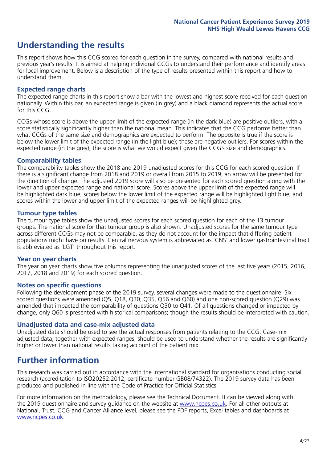# **Understanding the results**

This report shows how this CCG scored for each question in the survey, compared with national results and previous year's results. It is aimed at helping individual CCGs to understand their performance and identify areas for local improvement. Below is a description of the type of results presented within this report and how to understand them.

#### **Expected range charts**

The expected range charts in this report show a bar with the lowest and highest score received for each question nationally. Within this bar, an expected range is given (in grey) and a black diamond represents the actual score for this CCG.

CCGs whose score is above the upper limit of the expected range (in the dark blue) are positive outliers, with a score statistically significantly higher than the national mean. This indicates that the CCG performs better than what CCGs of the same size and demographics are expected to perform. The opposite is true if the score is below the lower limit of the expected range (in the light blue); these are negative outliers. For scores within the expected range (in the grey), the score is what we would expect given the CCG's size and demographics.

#### **Comparability tables**

The comparability tables show the 2018 and 2019 unadjusted scores for this CCG for each scored question. If there is a significant change from 2018 and 2019 or overall from 2015 to 2019, an arrow will be presented for the direction of change. The adjusted 2019 score will also be presented for each scored question along with the lower and upper expected range and national score. Scores above the upper limit of the expected range will be highlighted dark blue, scores below the lower limit of the expected range will be highlighted light blue, and scores within the lower and upper limit of the expected ranges will be highlighted grey.

#### **Tumour type tables**

The tumour type tables show the unadjusted scores for each scored question for each of the 13 tumour groups. The national score for that tumour group is also shown. Unadjusted scores for the same tumour type across different CCGs may not be comparable, as they do not account for the impact that differing patient populations might have on results. Central nervous system is abbreviated as 'CNS' and lower gastrointestinal tract is abbreviated as 'LGT' throughout this report.

#### **Year on year charts**

The year on year charts show five columns representing the unadjusted scores of the last five years (2015, 2016, 2017, 2018 and 2019) for each scored question.

#### **Notes on specific questions**

Following the development phase of the 2019 survey, several changes were made to the questionnaire. Six scored questions were amended (Q5, Q18, Q30, Q35, Q56 and Q60) and one non-scored question (Q29) was amended that impacted the comparability of questions Q30 to Q41. Of all questions changed or impacted by change, only Q60 is presented with historical comparisons; though the results should be interpreted with caution.

#### **Unadjusted data and case-mix adjusted data**

Unadjusted data should be used to see the actual responses from patients relating to the CCG. Case-mix adjusted data, together with expected ranges, should be used to understand whether the results are significantly higher or lower than national results taking account of the patient mix.

### **Further information**

This research was carried out in accordance with the international standard for organisations conducting social research (accreditation to ISO20252:2012; certificate number GB08/74322). The 2019 survey data has been produced and published in line with the Code of Practice for Official Statistics.

For more information on the methodology, please see the Technical Document. It can be viewed along with the 2019 questionnaire and survey quidance on the website at [www.ncpes.co.uk](https://www.ncpes.co.uk/supporting-documents). For all other outputs at National, Trust, CCG and Cancer Alliance level, please see the PDF reports, Excel tables and dashboards at [www.ncpes.co.uk.](https://www.ncpes.co.uk/current-results)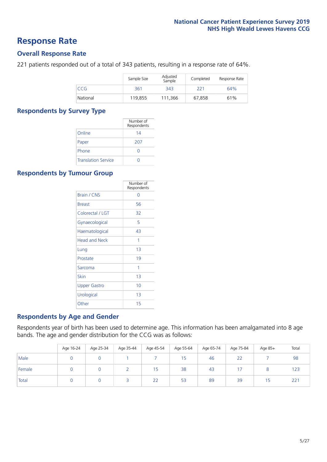### **Response Rate**

#### **Overall Response Rate**

221 patients responded out of a total of 343 patients, resulting in a response rate of 64%.

|          | Sample Size | Adjusted<br>Sample | Completed | Response Rate |
|----------|-------------|--------------------|-----------|---------------|
| CCG      | 361         | 343                | 221       | 64%           |
| National | 119.855     | 111,366            | 67,858    | 61%           |

#### **Respondents by Survey Type**

|                            | Number of<br>Respondents |
|----------------------------|--------------------------|
| Online                     | 14                       |
| Paper                      | 207                      |
| Phone                      |                          |
| <b>Translation Service</b> |                          |

#### **Respondents by Tumour Group**

|                      | Number of<br>Respondents |
|----------------------|--------------------------|
| Brain / CNS          | ∩                        |
| <b>Breast</b>        | 56                       |
| Colorectal / LGT     | 32                       |
| Gynaecological       | 5                        |
| Haematological       | 43                       |
| <b>Head and Neck</b> | 1                        |
| Lung                 | 1 <sub>3</sub>           |
| Prostate             | 19                       |
| Sarcoma              | 1                        |
| Skin                 | 1 <sub>3</sub>           |
| Upper Gastro         | 10                       |
| Urological           | 1 <sub>3</sub>           |
| Other                | 15                       |

#### **Respondents by Age and Gender**

Respondents year of birth has been used to determine age. This information has been amalgamated into 8 age bands. The age and gender distribution for the CCG was as follows:

|        | Age 16-24 | Age 25-34 | Age 35-44 | Age 45-54 | Age 55-64 | Age 65-74 | Age 75-84 | Age 85+ | Total |
|--------|-----------|-----------|-----------|-----------|-----------|-----------|-----------|---------|-------|
| Male   |           |           |           |           | 15        | 46        | 22        |         | 98    |
| Female |           |           |           | ל ו       | 38        | 43        |           |         | 123   |
| Total  |           |           |           | 22        | 53        | 89        | 39        | 15      | 221   |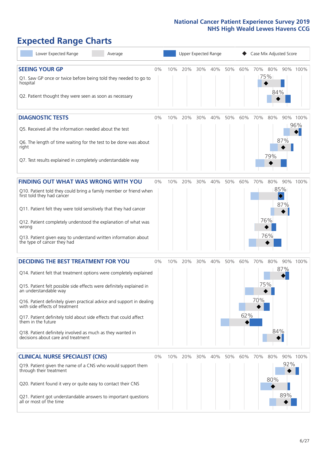# **Expected Range Charts**

| Lower Expected Range<br>Average                                                                                                 |       |     |     |     | Upper Expected Range |     |     | Case Mix Adjusted Score |            |                         |          |
|---------------------------------------------------------------------------------------------------------------------------------|-------|-----|-----|-----|----------------------|-----|-----|-------------------------|------------|-------------------------|----------|
| <b>SEEING YOUR GP</b><br>Q1. Saw GP once or twice before being told they needed to go to<br>hospital                            | 0%    | 10% | 20% | 30% | 40%                  | 50% | 60% | 70%                     | 80%<br>75% |                         | 90% 100% |
| Q2. Patient thought they were seen as soon as necessary                                                                         |       |     |     |     |                      |     |     |                         | 84%        |                         |          |
| <b>DIAGNOSTIC TESTS</b>                                                                                                         | 0%    | 10% | 20% | 30% | 40%                  | 50% | 60% | 70%                     | 80%        |                         | 90% 100% |
| Q5. Received all the information needed about the test                                                                          |       |     |     |     |                      |     |     |                         |            |                         | 96%      |
| Q6. The length of time waiting for the test to be done was about<br>right                                                       |       |     |     |     |                      |     |     |                         | 79%        | 87%                     |          |
| Q7. Test results explained in completely understandable way                                                                     |       |     |     |     |                      |     |     |                         |            |                         |          |
| <b>FINDING OUT WHAT WAS WRONG WITH YOU</b>                                                                                      | $0\%$ | 10% | 20% | 30% | 40%                  | 50% | 60% | 70%                     | 80%        |                         | 90% 100% |
| Q10. Patient told they could bring a family member or friend when<br>first told they had cancer                                 |       |     |     |     |                      |     |     |                         |            | 85%<br>$\hat{\diamond}$ |          |
| Q11. Patient felt they were told sensitively that they had cancer                                                               |       |     |     |     |                      |     |     |                         |            | 87%                     |          |
| Q12. Patient completely understood the explanation of what was<br>wrong                                                         |       |     |     |     |                      |     |     |                         | 76%        |                         |          |
| Q13. Patient given easy to understand written information about<br>the type of cancer they had                                  |       |     |     |     |                      |     |     |                         | 76%        |                         |          |
| <b>DECIDING THE BEST TREATMENT FOR YOU</b>                                                                                      | 0%    | 10% | 20% | 30% | 40%                  | 50% | 60% | 70%                     | 80%        | 90%                     | 100%     |
| Q14. Patient felt that treatment options were completely explained                                                              |       |     |     |     |                      |     |     |                         |            | 87%                     |          |
| Q15. Patient felt possible side effects were definitely explained in<br>an understandable way                                   |       |     |     |     |                      |     |     | 75%                     |            |                         |          |
| Q16. Patient definitely given practical advice and support in dealing<br>with side effects of treatment                         |       |     |     |     |                      |     |     | 70%                     |            |                         |          |
| Q17. Patient definitely told about side effects that could affect<br>them in the future                                         |       |     |     |     |                      |     | 62% |                         |            |                         |          |
| Q18. Patient definitely involved as much as they wanted in<br>decisions about care and treatment                                |       |     |     |     |                      |     |     |                         | 84%        |                         |          |
| <b>CLINICAL NURSE SPECIALIST (CNS)</b>                                                                                          | 0%    | 10% | 20% | 30% | 40%                  | 50% | 60% | 70%                     | 80%        |                         | 90% 100% |
| Q19. Patient given the name of a CNS who would support them<br>through their treatment                                          |       |     |     |     |                      |     |     |                         | 80%        | 92%                     |          |
| Q20. Patient found it very or quite easy to contact their CNS<br>Q21. Patient got understandable answers to important questions |       |     |     |     |                      |     |     |                         |            | 89%                     |          |
| all or most of the time                                                                                                         |       |     |     |     |                      |     |     |                         |            |                         |          |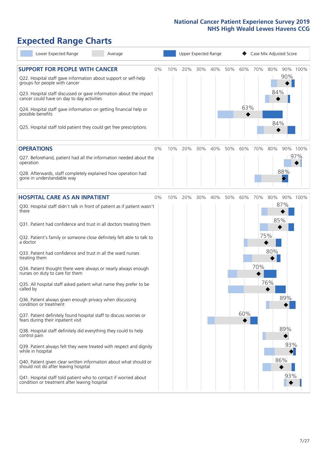# **Expected Range Charts**

| Lower Expected Range<br>Average                                                                                                                                                                                                                               |    |     |     |     | Upper Expected Range |     | Case Mix Adjusted Score |     |            |     |          |
|---------------------------------------------------------------------------------------------------------------------------------------------------------------------------------------------------------------------------------------------------------------|----|-----|-----|-----|----------------------|-----|-------------------------|-----|------------|-----|----------|
| <b>SUPPORT FOR PEOPLE WITH CANCER</b><br>Q22. Hospital staff gave information about support or self-help<br>groups for people with cancer<br>Q23. Hospital staff discussed or gave information about the impact<br>cancer could have on day to day activities | 0% | 10% | 20% | 30% | 40%                  | 50% | 60%                     | 70% | 80%<br>84% | 90% | 90% 100% |
| Q24. Hospital staff gave information on getting financial help or<br>possible benefits<br>Q25. Hospital staff told patient they could get free prescriptions                                                                                                  |    |     |     |     |                      |     | 63%                     |     | 84%        |     |          |
| <b>OPERATIONS</b>                                                                                                                                                                                                                                             | 0% | 10% | 20% | 30% | 40%                  | 50% | 60%                     | 70% | 80%        |     | 90% 100% |
| Q27. Beforehand, patient had all the information needed about the<br>operation<br>Q28. Afterwards, staff completely explained how operation had                                                                                                               |    |     |     |     |                      |     |                         |     |            | 88% | 97%      |
| gone in understandable way                                                                                                                                                                                                                                    |    |     |     |     |                      |     |                         |     |            |     |          |
| <b>HOSPITAL CARE AS AN INPATIENT</b>                                                                                                                                                                                                                          | 0% | 10% | 20% | 30% | 40%                  | 50% | 60%                     | 70% | 80%        |     | 90% 100% |
| Q30. Hospital staff didn't talk in front of patient as if patient wasn't<br>there                                                                                                                                                                             |    |     |     |     |                      |     |                         |     | 85%        | 87% |          |
| Q31. Patient had confidence and trust in all doctors treating them                                                                                                                                                                                            |    |     |     |     |                      |     |                         |     |            |     |          |
| Q32. Patient's family or someone close definitely felt able to talk to<br>a doctor                                                                                                                                                                            |    |     |     |     |                      |     |                         |     | 75%        |     |          |
| Q33. Patient had confidence and trust in all the ward nurses<br>treating them                                                                                                                                                                                 |    |     |     |     |                      |     |                         |     | 80%        |     |          |
| Q34. Patient thought there were always or nearly always enough<br>nurses on duty to care for them                                                                                                                                                             |    |     |     |     |                      |     |                         | 70% |            |     |          |
| Q35. All hospital staff asked patient what name they prefer to be<br>called by                                                                                                                                                                                |    |     |     |     |                      |     |                         |     | 76%        |     |          |
| Q36. Patient always given enough privacy when discussing<br>condition or treatment                                                                                                                                                                            |    |     |     |     |                      |     |                         |     |            | 89% |          |
| Q37. Patient definitely found hospital staff to discuss worries or<br>fears during their inpatient visit                                                                                                                                                      |    |     |     |     |                      |     | 60%                     |     |            |     |          |
| Q38. Hospital staff definitely did everything they could to help<br>control pain                                                                                                                                                                              |    |     |     |     |                      |     |                         |     |            | 89% |          |
| Q39. Patient always felt they were treated with respect and dignity<br>while in hospital                                                                                                                                                                      |    |     |     |     |                      |     |                         |     |            | 93% |          |
| Q40. Patient given clear written information about what should or<br>should not do after leaving hospital                                                                                                                                                     |    |     |     |     |                      |     |                         |     |            | 86% |          |
| Q41. Hospital staff told patient who to contact if worried about<br>condition or treatment after leaving hospital                                                                                                                                             |    |     |     |     |                      |     |                         |     |            | 93% |          |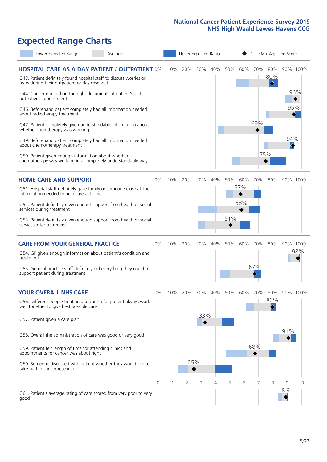# **Expected Range Charts**

| Lower Expected Range                                                                                                                      | Average |          | Upper Expected Range |     |     |     |     |     | Case Mix Adjusted Score |            |     |          |
|-------------------------------------------------------------------------------------------------------------------------------------------|---------|----------|----------------------|-----|-----|-----|-----|-----|-------------------------|------------|-----|----------|
| <b>HOSPITAL CARE AS A DAY PATIENT / OUTPATIENT 0%</b><br>Q43. Patient definitely found hospital staff to discuss worries or               |         |          | 10%                  | 20% | 30% | 40% | 50% | 60% | 70%                     | 80%<br>80% |     | 90% 100% |
| fears during their outpatient or day case visit<br>Q44. Cancer doctor had the right documents at patient's last<br>outpatient appointment |         |          |                      |     |     |     |     |     |                         | ♦          |     | 96%      |
| Q46. Beforehand patient completely had all information needed<br>about radiotherapy treatment                                             |         |          |                      |     |     |     |     |     |                         |            | 95% |          |
| Q47. Patient completely given understandable information about<br>whether radiotherapy was working                                        |         |          |                      |     |     |     |     |     | 69%                     |            |     |          |
| Q49. Beforehand patient completely had all information needed<br>about chemotherapy treatment                                             |         |          |                      |     |     |     |     |     |                         |            | 94% |          |
| Q50. Patient given enough information about whether<br>chemotherapy was working in a completely understandable way                        |         |          |                      |     |     |     |     |     |                         | 75%        |     |          |
| <b>HOME CARE AND SUPPORT</b>                                                                                                              |         | 0%       | 10%                  | 20% | 30% | 40% | 50% | 60% | 70%                     | 80%        |     | 90% 100% |
| Q51. Hospital staff definitely gave family or someone close all the<br>information needed to help care at home                            |         |          |                      |     |     |     |     | 57% |                         |            |     |          |
| Q52. Patient definitely given enough support from health or social<br>services during treatment                                           |         |          |                      |     |     |     |     | 58% |                         |            |     |          |
| Q53. Patient definitely given enough support from health or social<br>services after treatment                                            |         |          |                      |     |     |     | 51% |     |                         |            |     |          |
| <b>CARE FROM YOUR GENERAL PRACTICE</b>                                                                                                    |         | 0%       | 10%                  | 20% | 30% | 40% | 50% | 60% | 70%                     | 80%        |     | 90% 100% |
| Q54. GP given enough information about patient's condition and<br>treatment                                                               |         |          |                      |     |     |     |     |     |                         |            |     | 98%      |
| Q55. General practice staff definitely did everything they could to<br>support patient during treatment                                   |         |          |                      |     |     |     |     |     | 67%                     |            |     |          |
| <b>YOUR OVERALL NHS CARE</b>                                                                                                              |         | 0%       | 10%                  | 20% | 30% | 40% | 50% | 60% | 70%                     | 80%        |     | 90% 100% |
| Q56. Different people treating and caring for patient always work<br>well together to give best possible care                             |         |          |                      |     |     |     |     |     |                         | 80%        |     |          |
| Q57. Patient given a care plan                                                                                                            |         |          |                      |     | 33% |     |     |     |                         |            |     |          |
| Q58. Overall the administration of care was good or very good                                                                             |         |          |                      |     |     |     |     |     |                         |            | 91% |          |
| Q59. Patient felt length of time for attending clinics and<br>appointments for cancer was about right                                     |         |          |                      |     |     |     |     |     | 68%                     |            |     |          |
| Q60. Someone discussed with patient whether they would like to<br>take part in cancer research                                            |         |          |                      |     | 25% |     |     |     |                         |            |     |          |
|                                                                                                                                           |         | $\Omega$ |                      | 2   | 3   | 4   | 5   | 6   | 7                       | 8          | 9   | 10       |
| Q61. Patient's average rating of care scored from very poor to very<br>good                                                               |         |          |                      |     |     |     |     |     |                         |            | 8.9 |          |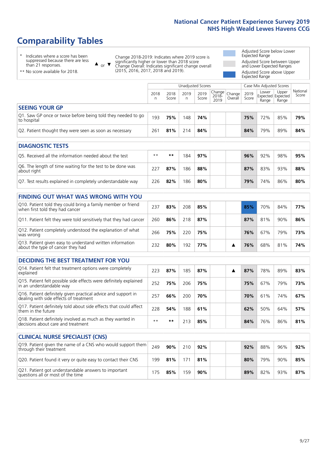# **Comparability Tables**

\* Indicates where a score has been suppressed because there are less than 21 responses.

\*\* No score available for 2018.

 $\triangle$  or  $\nabla$ 

Change 2018-2019: Indicates where 2019 score is significantly higher or lower than 2018 score Change Overall: Indicates significant change overall (2015, 2016, 2017, 2018 and 2019).

Adjusted Score below Lower Expected Range Adjusted Score between Upper and Lower Expected Ranges Adjusted Score above Upper Expected Range

|                                                                             |                 |               | Unadjusted Scores |               |                         | Case Mix Adjusted Scores |               |                                     |                |                   |
|-----------------------------------------------------------------------------|-----------------|---------------|-------------------|---------------|-------------------------|--------------------------|---------------|-------------------------------------|----------------|-------------------|
|                                                                             | 2018<br>n       | 2018<br>Score | 2019<br>n         | 2019<br>Score | Change<br>2018-<br>2019 | Change<br>Overall        | 2019<br>Score | Lower<br>Expected Expected<br>Range | Upper<br>Range | National<br>Score |
| <b>SEEING YOUR GP</b>                                                       |                 |               |                   |               |                         |                          |               |                                     |                |                   |
| Q1. Saw GP once or twice before being told they needed to go<br>to hospital | 193             | 75%           | 148               | 74%           |                         |                          | 75%           | 72%                                 | 85%            | 79%               |
| Q2. Patient thought they were seen as soon as necessary                     | 26 <sup>′</sup> | 81%           | 214               | 84%           |                         |                          | 84%           | 79%                                 | 89%            | 84%               |
| <b>DIAGNOSTIC TESTS</b>                                                     |                 |               |                   |               |                         |                          |               |                                     |                |                   |

| <b>UIAGINUSTIC TESTS</b>                                                  |      |     |     |     |  |     |     |     |     |
|---------------------------------------------------------------------------|------|-----|-----|-----|--|-----|-----|-----|-----|
| O5. Received all the information needed about the test                    | $**$ | **  | 184 | 97% |  | 96% | 92% | 98% | 95% |
| Q6. The length of time waiting for the test to be done was<br>about right | 727  | 87% | 186 | 88% |  | 87% | 83% | 93% | 88% |
| Q7. Test results explained in completely understandable way               | 226  | 82% | 186 | 80% |  | 79% | 74% | 86% | 80% |

| <b>FINDING OUT WHAT WAS WRONG WITH YOU</b>                                                      |     |     |     |     |  |     |     |     |     |
|-------------------------------------------------------------------------------------------------|-----|-----|-----|-----|--|-----|-----|-----|-----|
| Q10. Patient told they could bring a family member or friend<br>when first told they had cancer | 237 | 83% | 208 | 85% |  | 85% | 70% | 84% | 77% |
| Q11. Patient felt they were told sensitively that they had cancer                               | 260 | 86% | 218 | 87% |  | 87% | 81% | 90% | 86% |
| Q12. Patient completely understood the explanation of what<br>was wrong                         | 266 | 75% | 220 | 75% |  | 76% | 67% | 79% | 73% |
| Q13. Patient given easy to understand written information<br>about the type of cancer they had  | 232 | 80% | 192 | 77% |  | 76% | 68% | 81% | 74% |

| <b>DECIDING THE BEST TREATMENT FOR YOU</b>                                                           |      |     |     |     |  |     |     |     |     |
|------------------------------------------------------------------------------------------------------|------|-----|-----|-----|--|-----|-----|-----|-----|
| Q14. Patient felt that treatment options were completely<br>explained                                | 223  | 87% | 185 | 87% |  | 87% | 78% | 89% | 83% |
| Q15. Patient felt possible side effects were definitely explained<br>in an understandable way        | 252  | 75% | 206 | 75% |  | 75% | 67% | 79% | 73% |
| Q16. Patient definitely given practical advice and support in dealing with side effects of treatment | 257  | 66% | 200 | 70% |  | 70% | 61% | 74% | 67% |
| Q17. Patient definitely told about side effects that could affect<br>them in the future              | 228  | 54% | 188 | 61% |  | 62% | 50% | 64% | 57% |
| Q18. Patient definitely involved as much as they wanted in<br>decisions about care and treatment     | $**$ | **  | 213 | 85% |  | 84% | 76% | 86% | 81% |

| <b>CLINICAL NURSE SPECIALIST (CNS)</b>                                                    |     |     |     |     |     |     |     |     |
|-------------------------------------------------------------------------------------------|-----|-----|-----|-----|-----|-----|-----|-----|
| Q19. Patient given the name of a CNS who would support them<br>through their treatment    | 249 | 90% | 210 | 92% | 92% | 88% | 96% | 92% |
| Q20. Patient found it very or quite easy to contact their CNS                             | 199 | 81% | 171 | 81% | 80% | 79% | 90% | 85% |
| Q21. Patient got understandable answers to important<br>questions all or most of the time |     | 85% | 159 | 90% | 89% | 82% | 93% | 87% |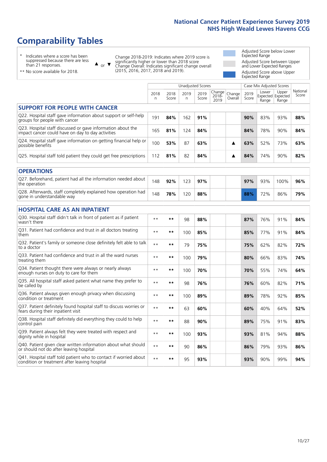# **Comparability Tables**

\* Indicates where a score has been suppressed because there are less than 21 responses.

\*\* No score available for 2018.

 $\triangle$  or  $\nabla$ 

Change 2018-2019: Indicates where 2019 score is significantly higher or lower than 2018 score Change Overall: Indicates significant change overall (2015, 2016, 2017, 2018 and 2019).

Adjusted Score below Lower Expected Range Adjusted Score between Upper and Lower Expected Ranges Adjusted Score above Upper Expected Range

|                                                                                                                   |              |               | <b>Unadjusted Scores</b> |               |                         |                   |               | Case Mix Adjusted Scores            |                |                   |
|-------------------------------------------------------------------------------------------------------------------|--------------|---------------|--------------------------|---------------|-------------------------|-------------------|---------------|-------------------------------------|----------------|-------------------|
|                                                                                                                   | 2018<br>n    | 2018<br>Score | 2019<br>n.               | 2019<br>Score | Change<br>2018-<br>2019 | Change<br>Overall | 2019<br>Score | Lower<br>Expected Expected<br>Range | Upper<br>Range | National<br>Score |
| <b>SUPPORT FOR PEOPLE WITH CANCER</b>                                                                             |              |               |                          |               |                         |                   |               |                                     |                |                   |
| Q22. Hospital staff gave information about support or self-help<br>groups for people with cancer                  | 191          | 84%           | 162                      | 91%           |                         |                   | 90%           | 83%                                 | 93%            | 88%               |
| Q23. Hospital staff discussed or gave information about the<br>impact cancer could have on day to day activities  | 165          | 81%           | 124                      | 84%           |                         |                   | 84%           | 78%                                 | 90%            | 84%               |
| Q24. Hospital staff gave information on getting financial help or<br>possible benefits                            | 100          | 53%           | 87                       | 63%           |                         | ▲                 | 63%           | 52%                                 | 73%            | 63%               |
| Q25. Hospital staff told patient they could get free prescriptions                                                | 112          | 81%           | 82                       | 84%           |                         | ▲                 | 84%           | 74%                                 | 90%            | 82%               |
| <b>OPERATIONS</b>                                                                                                 |              |               |                          |               |                         |                   |               |                                     |                |                   |
| Q27. Beforehand, patient had all the information needed about<br>the operation                                    | 148          | 92%           | 123                      | 97%           |                         |                   | 97%           | 93%                                 | 100%           | 96%               |
| Q28. Afterwards, staff completely explained how operation had<br>gone in understandable way                       | 148          | 78%           | 120                      | 88%           |                         |                   | 88%           | 72%                                 | 86%            | 79%               |
| <b>HOSPITAL CARE AS AN INPATIENT</b>                                                                              |              |               |                          |               |                         |                   |               |                                     |                |                   |
| Q30. Hospital staff didn't talk in front of patient as if patient<br>wasn't there                                 | $**$         | **            | 98                       | 88%           |                         |                   | 87%           | 76%                                 | 91%            | 84%               |
| Q31. Patient had confidence and trust in all doctors treating<br>them                                             | $**$         | $***$         | 100                      | 85%           |                         |                   | 85%           | 77%                                 | 91%            | 84%               |
| Q32. Patient's family or someone close definitely felt able to talk<br>to a doctor                                | $* *$        | **            | 79                       | 75%           |                         |                   | 75%           | 62%                                 | 82%            | 72%               |
| O33. Patient had confidence and trust in all the ward nurses<br>treating them                                     | $**$         | **            | 100                      | 79%           |                         |                   | 80%           | 66%                                 | 83%            | 74%               |
| Q34. Patient thought there were always or nearly always<br>enough nurses on duty to care for them                 | $\star\star$ | **            | 100                      | 70%           |                         |                   | 70%           | 55%                                 | 74%            | 64%               |
| Q35. All hospital staff asked patient what name they prefer to<br>be called by                                    | $* *$        | **            | 98                       | 76%           |                         |                   | 76%           | 60%                                 | 82%            | 71%               |
| Q36. Patient always given enough privacy when discussing<br>condition or treatment                                | $**$         | $***$         | 100                      | 89%           |                         |                   | 89%           | 78%                                 | 92%            | 85%               |
| Q37. Patient definitely found hospital staff to discuss worries or<br>fears during their inpatient visit          | $**$         | **            | 63                       | 60%           |                         |                   | 60%           | 40%                                 | 64%            | 52%               |
| Q38. Hospital staff definitely did everything they could to help<br>control pain                                  | $\star\star$ | $***$         | 88                       | 90%           |                         |                   | 89%           | 75%                                 | 91%            | 83%               |
| Q39. Patient always felt they were treated with respect and<br>dignity while in hospital                          | $***$        | **            | 100                      | 93%           |                         |                   | 93%           | 81%                                 | 94%            | 88%               |
| Q40. Patient given clear written information about what should<br>or should not do after leaving hospital         | $**$         | **            | 90                       | 86%           |                         |                   | 86%           | 79%                                 | 93%            | 86%               |
| Q41. Hospital staff told patient who to contact if worried about<br>condition or treatment after leaving hospital | $**$         | **            | 95                       | 93%           |                         |                   | 93%           | 90%                                 | 99%            | 94%               |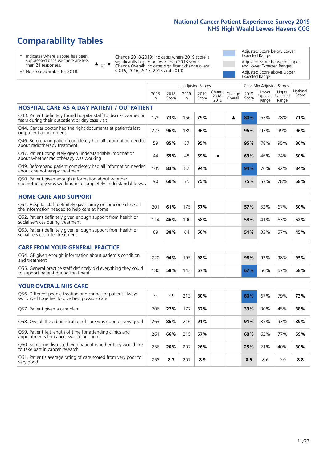# **Comparability Tables**

\* Indicates where a score has been suppressed because there are less than 21 responses.

\*\* No score available for 2018.

 $\triangle$  or  $\nabla$ 

Change 2018-2019: Indicates where 2019 score is significantly higher or lower than 2018 score Change Overall: Indicates significant change overall (2015, 2016, 2017, 2018 and 2019).

Adjusted Score below Lower Expected Range Adjusted Score between Upper and Lower Expected Ranges Adjusted Score above Upper Expected Range

|                                                                                                                       |                      |               |           | <b>Unadjusted Scores</b> |                         |                   |               | Case Mix Adjusted Scores |                                     |                   |
|-----------------------------------------------------------------------------------------------------------------------|----------------------|---------------|-----------|--------------------------|-------------------------|-------------------|---------------|--------------------------|-------------------------------------|-------------------|
|                                                                                                                       | 2018<br>$\mathsf{n}$ | 2018<br>Score | 2019<br>n | 2019<br>Score            | Change<br>2018-<br>2019 | Change<br>Overall | 2019<br>Score | Lower<br>Range           | Upper<br>Expected Expected<br>Range | National<br>Score |
| HOSPITAL CARE AS A DAY PATIENT / OUTPATIENT                                                                           |                      |               |           |                          |                         |                   |               |                          |                                     |                   |
| Q43. Patient definitely found hospital staff to discuss worries or<br>fears during their outpatient or day case visit | 179                  | 73%           | 156       | 79%                      |                         | ▲                 | 80%           | 63%                      | 78%                                 | 71%               |
| Q44. Cancer doctor had the right documents at patient's last<br>outpatient appointment                                | 227                  | 96%           | 189       | 96%                      |                         |                   | 96%           | 93%                      | 99%                                 | 96%               |
| Q46. Beforehand patient completely had all information needed<br>about radiotherapy treatment                         | 59                   | 85%           | 57        | 95%                      |                         |                   | 95%           | 78%                      | 95%                                 | 86%               |
| Q47. Patient completely given understandable information<br>about whether radiotherapy was working                    | 44                   | 59%           | 48        | 69%                      | ▲                       |                   | 69%           | 46%                      | 74%                                 | 60%               |
| Q49. Beforehand patient completely had all information needed<br>about chemotherapy treatment                         | 105                  | 83%           | 82        | 94%                      |                         |                   | 94%           | 76%                      | 92%                                 | 84%               |
| Q50. Patient given enough information about whether<br>chemotherapy was working in a completely understandable way    | 90                   | 60%           | 75        | 75%                      |                         |                   | 75%           | 57%                      | 78%                                 | 68%               |
| <b>HOME CARE AND SUPPORT</b>                                                                                          |                      |               |           |                          |                         |                   |               |                          |                                     |                   |
| Q51. Hospital staff definitely gave family or someone close all<br>the information needed to help care at home        | 201                  | 61%           | 175       | 57%                      |                         |                   | 57%           | 52%                      | 67%                                 | 60%               |
| Q52. Patient definitely given enough support from health or<br>social services during treatment                       | 114                  | 46%           | 100       | 58%                      |                         |                   | 58%           | 41%                      | 63%                                 | 52%               |
| Q53. Patient definitely given enough support from health or<br>social services after treatment                        | 69                   | 38%           | 64        | 50%                      |                         |                   | 51%           | 33%                      | 57%                                 | 45%               |
| <b>CARE FROM YOUR GENERAL PRACTICE</b>                                                                                |                      |               |           |                          |                         |                   |               |                          |                                     |                   |
| Q54. GP given enough information about patient's condition<br>and treatment                                           | 220                  | 94%           | 195       | 98%                      |                         |                   | 98%           | 92%                      | 98%                                 | 95%               |
| Q55. General practice staff definitely did everything they could<br>to support patient during treatment               | 180                  | 58%           | 143       | 67%                      |                         |                   | 67%           | 50%                      | 67%                                 | 58%               |
| <b>YOUR OVERALL NHS CARE</b>                                                                                          |                      |               |           |                          |                         |                   |               |                          |                                     |                   |
| Q56. Different people treating and caring for patient always<br>work well together to give best possible care         | $\star\star$         | $***$         | 213       | 80%                      |                         |                   | 80%           | 67%                      | 79%                                 | 73%               |
| Q57. Patient given a care plan                                                                                        | 206                  | 27%           | 177       | 32%                      |                         |                   | 33%           | 30%                      | 45%                                 | 38%               |
| Q58. Overall the administration of care was good or very good                                                         | 263                  | 86%           | 216       | 91%                      |                         |                   | 91%           | 85%                      | 93%                                 | 89%               |
| Q59. Patient felt length of time for attending clinics and<br>appointments for cancer was about right                 | 261                  | 66%           | 215       | 67%                      |                         |                   | 68%           | 62%                      | 77%                                 | 69%               |
| Q60. Someone discussed with patient whether they would like<br>to take part in cancer research                        | 256                  | 20%           | 207       | 26%                      |                         |                   | 25%           | 21%                      | 40%                                 | 30%               |
| Q61. Patient's average rating of care scored from very poor to<br>very good                                           | 258                  | 8.7           | 207       | 8.9                      |                         |                   | 8.9           | 8.6                      | 9.0                                 | 8.8               |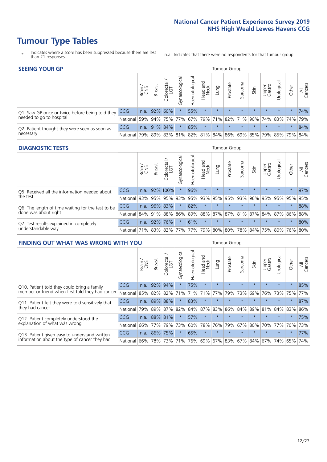- \* Indicates where a score has been suppressed because there are less than 21 responses.
- n.a. Indicates that there were no respondents for that tumour group.

| <b>SEEING YOUR GP</b>                           |            |       |               |                 |                |                |                  |         | Tumour Group |         |         |                 |                                                     |         |                |
|-------------------------------------------------|------------|-------|---------------|-----------------|----------------|----------------|------------------|---------|--------------|---------|---------|-----------------|-----------------------------------------------------|---------|----------------|
|                                                 |            | Brain | <b>Breast</b> | Colorectal      | Gynaecological | Haematological | Head and<br>Neck | Dung    | Prostate     | Sarcoma | Skin    | Upper<br>Gastro | Urological                                          | Other   | All<br>Cancers |
| Q1. Saw GP once or twice before being told they | <b>CCG</b> |       | n.a. 92% 60%  |                 |                | 55%            | $\star$          | $\star$ | $\star$      | $\star$ | $\star$ | $\star$         | $\star$                                             | $\star$ | 74%            |
| needed to go to hospital                        | National   |       |               | 59% 94% 75% 77% |                |                |                  |         |              |         |         |                 | 67% 79% 71% 82% 71% 90% 74% 83% 74%                 |         | 79%            |
| Q2. Patient thought they were seen as soon as   | <b>CCG</b> | n.a.  |               | 91% 84%         | $\star$        | 85%            | $\star$          | $\star$ | $\star$      | $\star$ | $\star$ | $\star$         | $\star$                                             | $\star$ | 84%            |
| necessary                                       | National   |       |               |                 |                |                |                  |         |              |         |         |                 | 79% 89% 83% 81% 82% 81% 84% 86% 69% 85% 79% 85% 79% |         | 84%            |

#### **DIAGNOSTIC TESTS** Tumour Group

|                                                   |                                          | Brain<br>CNS | <b>Breast</b> | Colorectal<br>LGT | ᠊ᢛ<br>Gynaecologic | Haematological | Head and<br>Neck | Lung        | Prostate | Sarcoma | Skin    | Upper<br>Gastro | rological                                   | Other   | All<br>Cancers |
|---------------------------------------------------|------------------------------------------|--------------|---------------|-------------------|--------------------|----------------|------------------|-------------|----------|---------|---------|-----------------|---------------------------------------------|---------|----------------|
| Q5. Received all the information needed about     | <b>CCG</b>                               | n.a.         |               | 92% 100%          |                    | 96%            | $\star$          | $\star$     | $\star$  | $\star$ |         | $\star$         | $\star$                                     | $\star$ | 97%            |
| the test                                          | National                                 | 93%          |               | 95% 95%           |                    | 93% 95%        |                  | 93% 95% 95% |          | 93%     | 96%     |                 | 95% 95%                                     | 95%     | 95%            |
| Q6. The length of time waiting for the test to be | <b>CCG</b>                               | n.a.         |               | 96% 83%           | $\star$            | 82%            | $\star$          | $\star$     | $\star$  | $\star$ | $\star$ | $\star$         | $\star$                                     | $\star$ | 88%            |
| done was about right                              | National                                 |              |               | 84% 91% 88%       |                    |                |                  |             |          |         |         |                 | 86% 89% 88% 87% 87% 81% 87% 84% 87% 86% 88% |         |                |
| Q7. Test results explained in completely          | <b>CCG</b>                               | n.a.         | 92%           | 76%               | $\star$            | 61%            | $\star$          | $\star$     | $\star$  | $\star$ | $\star$ | $\star$         | $\star$                                     | $\star$ | 80%            |
| understandable way                                | National 71% 83% 82% 77% 77% 79% 80% 80% |              |               |                   |                    |                |                  |             |          |         |         |                 | 78% 84% 75% 80% 76% 80%                     |         |                |

| <b>FINDING OUT WHAT WAS WRONG WITH YOU</b>        |            |       |               |                             |                |                |                        |             | <b>Tumour Group</b> |         |         |                 |            |         |                |
|---------------------------------------------------|------------|-------|---------------|-----------------------------|----------------|----------------|------------------------|-------------|---------------------|---------|---------|-----------------|------------|---------|----------------|
|                                                   |            | Brain | <b>Breast</b> | ╮<br>olorectal.<br>LGT<br>Ũ | Gynaecological | Haematological | ad and<br>Neck<br>Head | Lung        | Prostate            | Sarcoma | Skin    | Upper<br>Gastro | Jrological | Other   | All<br>Cancers |
| Q10. Patient told they could bring a family       | <b>CCG</b> | n.a.  | 92%           | 94%                         |                | 75%            | $\star$                | $\star$     | $\star$             | $\star$ | $\star$ | $\star$         | $\star$    | $\star$ | 85%            |
| member or friend when first told they had cancer  | National   | 85%   | 82%           | 82%                         | 71%            | 71%            | 71%                    | 77%         | 79%                 | 73%     | 69%     | 76%             | 73%        | 75%     | 77%            |
| Q11. Patient felt they were told sensitively that | <b>CCG</b> | n.a.  | 89%           | 88%                         |                | 83%            | $\star$                | $\star$     | $\star$             | $\star$ | $\star$ | $\star$         | $\star$    | $\star$ | 87%            |
| they had cancer                                   | National   | 79%   | 89% 87%       |                             | 82%            |                |                        | 84% 87% 83% | 86%                 | 84%     | 89%     | 81%             | 84% 83%    |         | 86%            |
| Q12. Patient completely understood the            | <b>CCG</b> | n.a.  |               | 88% 81%                     |                | 57%            | $\star$                | $\star$     | $\star$             | $\star$ |         | $\star$         | $\star$    | $\star$ | 75%            |
| explanation of what was wrong                     | National   | 66%   | 77%           | 79%                         | 73%            | 60%            | 78%                    | 76%         | 79%                 | 67%     | 80%     | 70%             | 77%        | 70%     | 73%            |
| Q13. Patient given easy to understand written     | <b>CCG</b> | n.a.  | 86% 75%       |                             | $\star$        | 65%            | $\star$                | $\star$     | $\star$             | $\star$ | $\star$ | $\star$         | $\star$    | $\star$ | 77%            |
| information about the type of cancer they had     | National   | 66%   | 78%           | 73%                         | 71%            |                |                        |             | 76% 69% 67% 83%     | 67%     | 84%     |                 | 67% 74%    | 65%     | 74%            |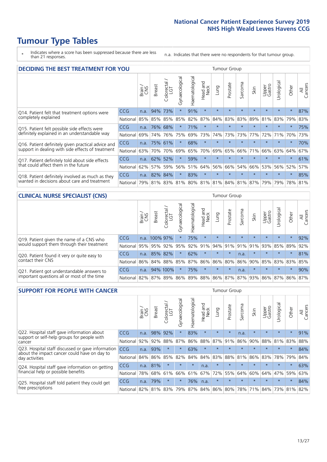\* Indicates where a score has been suppressed because there are less than 21 responses.

n.a. Indicates that there were no respondents for that tumour group.

| <b>DECIDING THE BEST TREATMENT FOR YOU</b>         |            |       |               |                             |                |                                         |                         |         | <b>Tumour Group</b> |         |         |                 |            |         |                |
|----------------------------------------------------|------------|-------|---------------|-----------------------------|----------------|-----------------------------------------|-------------------------|---------|---------------------|---------|---------|-----------------|------------|---------|----------------|
|                                                    |            | Brain | <b>Breast</b> | olorectal.<br>LGT<br>$\cup$ | Gynaecological | Haematological                          | ead and<br>Neck<br>Head | Lung    | Prostate            | Sarcoma | Skin    | Upper<br>Gastro | Jrological | Other   | All<br>Cancers |
| Q14. Patient felt that treatment options were      | <b>CCG</b> | n.a.  | 94%           | 73%                         | $\star$        | 91%                                     | $\star$                 | $\star$ | $\star$             | $\star$ | $\star$ | $\star$         | $\star$    | $\star$ | 87%            |
| completely explained                               | National   | 85%   | 85%           | 85%                         | 85%            | 82%                                     | 87%                     | 84%     | 83%                 | 83%     | 89%     | 81%             | 83%        | 79%     | 83%            |
| Q15. Patient felt possible side effects were       | <b>CCG</b> | n.a.  | 76%           | 68%                         | $\star$        | 71%                                     | $\star$                 | $\star$ | $\star$             |         |         | $\star$         | $\star$    | $\star$ | 75%            |
| definitely explained in an understandable way      | National   | 69%   | 74%           | 76%                         | 75%            | 69%                                     | 73%                     | 74%     | 73%                 | 73%     | 77%     | 72%             | 71%        | 70%     | 73%            |
| Q16. Patient definitely given practical advice and | CCG        | n.a.  | 75%           | 61%                         | $\star$        | 68%                                     | $\star$                 | $\star$ | $\star$             | $\star$ | $\star$ | $\star$         | $\star$    | $\star$ | 70%            |
| support in dealing with side effects of treatment  | National   | 63%   | 70%           | 70%                         | 69%            | 65%                                     | 70%                     | 69%     | 65%                 | 66%     | 71%     | 66%             | 63%        | 64%     | 67%            |
| Q17. Patient definitely told about side effects    | CCG        | n.a.  | 62%           | 52%                         | $\star$        | 59%                                     | $\star$                 | $\star$ | $\star$             | $\star$ | $\star$ | $\star$         | $\star$    | $\star$ | 61%            |
| that could affect them in the future               | National   | 62%   | 57%           | 59%                         | 56%            | 51%                                     | 64%                     | 56%     | 66%                 | 54%     | 66%     | 53%             | 56%        | 52%     | 57%            |
| Q18. Patient definitely involved as much as they   | CCG        | n.a.  | 82%           | 84%                         | $\star$        | 83%                                     | $\star$                 | $\star$ | $\star$             | $\star$ | $\star$ | $\star$         | $\star$    | $\star$ | 85%            |
| wanted in decisions about care and treatment       | National   | 79%   |               |                             |                | 81% 83% 81% 80% 81% 81% 84% 81% 87% 79% |                         |         |                     |         |         |                 | 79%        | 78% 81% |                |

#### **CLINICAL NURSE SPECIALIST (CNS)** Tumour Group

|                                             |            | Brain | Breast        | Colorectal<br>LGT | ᢛ<br>Gynaecologic | Haematological  | Head and<br>Neck | Lung    | Prostate | Sarcoma | Skin                        | Upper<br>Gastro | rological       | Other    | All<br>Cancers |
|---------------------------------------------|------------|-------|---------------|-------------------|-------------------|-----------------|------------------|---------|----------|---------|-----------------------------|-----------------|-----------------|----------|----------------|
| Q19. Patient given the name of a CNS who    | <b>CCG</b> |       | n.a. 100% 97% |                   |                   | 75%             | $\star$          | $\star$ | $\star$  | $\star$ | $\star$                     | $\star$         | $\star$         | $\star$  | 92%            |
| would support them through their treatment  | National   | 95%   | 95%           | 92%               | 95%               |                 | 92% 91%          | 94% 91% |          | 91%     | 91%                         | 93%             | 85% 89%         |          | 92%            |
| Q20. Patient found it very or quite easy to | <b>CCG</b> | n.a.  | 85%           | 82%               |                   | 62%             | $\star$          | $\star$ | $\star$  | n.a.    |                             | $\star$         | $\star$         | $\star$  | 81%            |
| contact their CNS                           | National   |       |               | 86% 84% 88% 85%   |                   | 87% 86% 86% 80% |                  |         |          |         | 86% 90%                     | 85%             | 83% 83% 85%     |          |                |
| Q21. Patient got understandable answers to  | <b>CCG</b> | n.a.  |               | 94% 100%          |                   | 75%             | $\star$          | $\star$ | $\star$  | n.a.    | $\star$                     | $\star$         | $\star$         | $^\star$ | 90%            |
| important questions all or most of the time | National   | 82%   |               | 87% 89%           |                   |                 |                  |         |          |         | 86% 89% 88% 86% 87% 87% 93% |                 | 86% 87% 86% 87% |          |                |

| <b>SUPPORT FOR PEOPLE WITH CANCER</b>                                                             |            |       |               |            |                |                |                         |                 | <b>Tumour Group</b> |         |         |                 |            |         |                |
|---------------------------------------------------------------------------------------------------|------------|-------|---------------|------------|----------------|----------------|-------------------------|-----------------|---------------------|---------|---------|-----------------|------------|---------|----------------|
|                                                                                                   |            | Brain | <b>Breast</b> | Colorectal | Gynaecological | Haematological | ead and<br>Neck<br>Head | Lung            | Prostate            | Sarcoma | Skin    | Upper<br>Gastro | Jrological | Other   | All<br>Cancers |
| Q22. Hospital staff gave information about<br>support or self-help groups for people with         | <b>CCG</b> | n.a.  | 98%           | 92%        | $\star$        | 83%            | $\star$                 | $\star$         | $\star$             | n.a.    | $\star$ | $\star$         | $\star$    | $\star$ | 91%            |
| cancer                                                                                            | National   | 92%   | 92%           | 88%        | 87%            | 86%            | 88%                     | 87%             | 91%                 | 86%     | 90%     | 88%             | 81%        | 83%     | 88%            |
| Q23. Hospital staff discussed or gave information<br>about the impact cancer could have on day to | CCG.       | n.a.  | 93%           | $\star$    | $\star$        | 63%            | $\star$                 | $\star$         | $\star$             | $\star$ | $\star$ | $\star$         | $\star$    | $\star$ | 84%            |
| day activities                                                                                    | National   | 84%   | 86%           | 85%        | 82%            | 84%            | 84%                     | 83%             | 88%                 | 81%     | 86%     | 83%             | 78%        | 79%     | 84%            |
| Q24. Hospital staff gave information on getting                                                   | CCG        | n.a.  | 81%           | $\star$    | $\star$        | $\star$        | n.a.                    | $\star$         | $\star$             | $\star$ |         | $\star$         | $\star$    | $\ast$  | 63%            |
| financial help or possible benefits                                                               | National   | 78%   | 68%           | 61%        | 66%            | 61%            | 67%                     | 72%             | 55%                 | 64%     | 60%     | 64%             | 47%        | 59%     | 63%            |
| Q25. Hospital staff told patient they could get                                                   | CCG        | n.a.  | 79%           |            | $\star$        | 76%            | n.a.                    | $\star$         | $\star$             | $\star$ |         | $\star$         | $\star$    | $\ast$  | 84%            |
| free prescriptions                                                                                | National   | 82%   | 81%           | 83%        | 79%            |                |                         | 87% 84% 86% 80% |                     | 78%     | 71%     | 84%             | 73%        | 81%     | 82%            |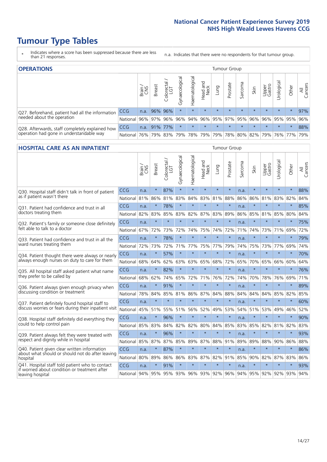- \* Indicates where a score has been suppressed because there are less than 21 responses.
- n.a. Indicates that there were no respondents for that tumour group.

| <b>OPERATIONS</b>                                |            |       |               |                   |                   |                |                  |             | Tumour Group |         |                                         |                 |           |         |                |
|--------------------------------------------------|------------|-------|---------------|-------------------|-------------------|----------------|------------------|-------------|--------------|---------|-----------------------------------------|-----------------|-----------|---------|----------------|
|                                                  |            | Brain | <b>Breast</b> | Colorectal<br>LGT | ਨ<br>Gynaecologic | Haematological | Head and<br>Neck | <b>Dung</b> | Prostate     | Sarcoma | Skin                                    | Upper<br>Gastro | Urologica | Other   | All<br>Cancers |
| Q27. Beforehand, patient had all the information | <b>CCG</b> | n.a.  |               | 96% 96%           | $\star$           | $\star$        | $\star$          | $\star$     | $\star$      | $\star$ | $\star$                                 | $\star$         | $\star$   | $\star$ | 97%            |
| needed about the operation                       | National l |       | 96% 97% 96%   |                   |                   |                |                  |             |              |         | 96% 94% 96% 95% 97% 95% 96% 96% 95% 95% |                 |           |         | 96%            |
| Q28. Afterwards, staff completely explained how  | <b>CCG</b> | n.a.  |               | 91% 77%           | $\star$           | $\star$        | $\star$          | $\star$     | $\star$      | $\star$ | $\star$                                 | $\star$         | $\star$   | $\star$ | 88%            |
| operation had gone in understandable way         | National   | 76% l |               | 79% 83%           |                   |                |                  |             |              |         | 79% 78% 79% 79% 78% 80% 82% 79% 76% 77% |                 |           |         | 79%            |

#### **HOSPITAL CARE AS AN INPATIENT** Tumour Group

|                                                                                                  |            | Brain | <b>Breast</b> | $\frac{1}{2}$ Colorectal / | Gynaecological | Haematological | Head and<br>Neck | Lung    | Prostate                | Sarcoma | Skin    | Upper<br>Gastro | Urological | Other                   | Cancers<br>$\overline{\overline{z}}$ |
|--------------------------------------------------------------------------------------------------|------------|-------|---------------|----------------------------|----------------|----------------|------------------|---------|-------------------------|---------|---------|-----------------|------------|-------------------------|--------------------------------------|
| Q30. Hospital staff didn't talk in front of patient                                              | CCG        | n.a.  | $\star$       | 87%                        | $\star$        | $\star$        | $\star$          | $\star$ | $\star$                 | n.a.    | $\star$ | $\star$         | $\star$    | $\star$                 | 88%                                  |
| as if patient wasn't there                                                                       | National   | 81%   | 86%           | 81%                        | 83%            | 84%            | 83%              | 81%     | 88%                     | 86%     | 86%     | 81%             | 83%        | 82%                     | 84%                                  |
| 031. Patient had confidence and trust in all                                                     | CCG        | n.a.  | $\star$       | 78%                        | $\star$        | $\star$        | $\star$          | $\star$ | $\star$                 | n.a.    | $\star$ | $\star$         | $\star$    | $\star$                 | 85%                                  |
| doctors treating them                                                                            | National   | 82%   | 83%           | 85%                        | 83%            | 82%            | 87%              | 83%     | 89%                     | 86%     | 85%     | 81%             | 85%        | 80%                     | 84%                                  |
| Q32. Patient's family or someone close definitely                                                | CCG        | n.a.  | $\star$       | $\star$                    | $\star$        | $\star$        | $\star$          | $\star$ | $\star$                 | n.a.    | $\star$ | $\star$         | $\star$    | $\star$                 | 75%                                  |
| felt able to talk to a doctor                                                                    | National   | 67%   | 72%           | 73%                        | 72%            | 74%            | 75%              | 74%     | 72%                     | 71%     | 74%     | 73%             | 71%        | 69%                     | 72%                                  |
| Q33. Patient had confidence and trust in all the                                                 | CCG        | n.a.  | $\star$       | 78%                        | $\star$        | $\star$        | $\star$          | $\star$ | $\star$                 | n.a.    | $\ast$  | $\star$         | $\star$    | $\star$                 | 79%                                  |
| ward nurses treating them                                                                        | National   | 72%   | 73%           | 72%                        |                | 71% 77%        |                  | 75% 77% | 79%                     | 74%     | 75%     |                 | 73% 77%    | 69%                     | 74%                                  |
| Q34. Patient thought there were always or nearly                                                 | CCG        | n.a.  | $\star$       | 57%                        | $\star$        | $\star$        | $\star$          | $\star$ | $\star$                 | n.a.    | $\star$ |                 | $\star$    | $\star$                 | 70%                                  |
| always enough nurses on duty to care for them                                                    | National   | 68%   | 64%           | 62%                        | 63%            | 63%            |                  | 65% 68% | 72%                     | 65%     |         | 70% 65%         | 66%        | 60%                     | 64%                                  |
| Q35. All hospital staff asked patient what name                                                  | CCG        | n.a.  | $\star$       | 82%                        | $\star$        | $\star$        | $\star$          | $\star$ | $\star$                 | n.a.    | $\star$ | $\star$         | $\star$    | $\star$                 | 76%                                  |
| they prefer to be called by                                                                      | National   | 68%   | 62%           | 74%                        | 65%            | 72%            | 71%              | 76%     | 72%                     | 74%     | 70%     | 78%             | 76%        | 69%                     | 71%                                  |
| Q36. Patient always given enough privacy when                                                    | CCG        | n.a.  | $\star$       | 91%                        | $\star$        | $\star$        | $\star$          | $\star$ | $\star$                 | n.a.    | $\star$ | $\star$         | $\star$    | $\star$                 | 89%                                  |
| discussing condition or treatment                                                                | National   | 78%   | 84%           | 85%                        | 81%            | 86%            |                  | 87% 84% | 88%                     | 84%     | 84%     | 84%             | 85%        | 82%                     | 85%                                  |
| Q37. Patient definitely found hospital staff to                                                  | <b>CCG</b> | n.a.  | $\star$       | $\star$                    | $\star$        | $\star$        | $\star$          | $\star$ | $\star$                 | n.a.    | $\star$ | $\star$         | $\star$    | $\star$                 | 60%                                  |
| discuss worries or fears during their inpatient visit                                            | National   | 45%   | 51%           | 55%                        | 51%            | 56%            | 52%              | 49%     | 53%                     | 54%     | 51%     | 53%             | 49%        | 46%                     | 52%                                  |
| Q38. Hospital staff definitely did everything they                                               | CCG        | n.a.  | $\star$       | 96%                        | $\star$        | $\star$        | $\star$          | $\star$ | $\star$                 | n.a.    | $\star$ | $\star$         | $\star$    | $\star$                 | 90%                                  |
| could to help control pain                                                                       | National   | 85%   | 83%           | 84%                        | 82%            | 82%            | 80%              | 84%     | 85%                     | 83%     |         | 85% 82%         | 81%        | 82%                     | 83%                                  |
| Q39. Patient always felt they were treated with                                                  | CCG        | n.a.  | $\star$       | 96%                        | $\star$        | $\star$        | $\star$          | $\star$ | $\star$                 | n.a.    | $\star$ |                 | $\star$    | $\star$                 | 93%                                  |
| respect and dignity while in hospital                                                            | National   | 85%   | 87%           | 87%                        | 85%            | 89%            | 87%              | 88%     | 91%                     | 89%     | 89%     | 88%             | 90%        | 86%                     | 88%                                  |
| Q40. Patient given clear written information<br>about what should or should not do after leaving | <b>CCG</b> | n.a.  | $\star$       | 87%                        | $\star$        | $\star$        | $\star$          | $\star$ | $\star$                 | n.a.    | $\star$ | $\star$         | $\star$    | $\star$                 | 86%                                  |
| hospital                                                                                         | National   | 80%   | 89%           | 86%                        | 86%            | 83%            |                  | 87% 82% | 91%                     | 85%     | 90%     | 82%             | 87%        | 83%                     | 86%                                  |
| Q41. Hospital staff told patient who to contact<br>if worried about condition or treatment after | CCG        | n.a.  | $\star$       | 91%                        | $\star$        | $\star$        | $\star$          | $\star$ | $\star$                 | n.a.    | $\star$ | $\star$         | $\star$    | $\star$                 | 93%                                  |
| leaving hospital                                                                                 | National   |       | 94% 95%       |                            |                |                |                  |         | 95% 93% 96% 93% 92% 96% |         |         |                 |            | 94% 95% 92% 92% 93% 94% |                                      |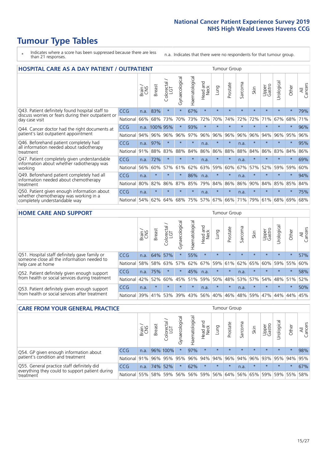# **Tumour Type Tables**

- \* Indicates where a score has been suppressed because there are less than 21 responses.
- n.a. Indicates that there were no respondents for that tumour group.

| <b>HOSPITAL CARE AS A DAY PATIENT / OUTPATIENT</b>                                                                    |            |       |               |                                 |                |                |                         |         |          | <b>Tumour Group</b> |         |                 |            |         |                |  |  |  |  |  |  |  |
|-----------------------------------------------------------------------------------------------------------------------|------------|-------|---------------|---------------------------------|----------------|----------------|-------------------------|---------|----------|---------------------|---------|-----------------|------------|---------|----------------|--|--|--|--|--|--|--|
|                                                                                                                       |            | Brain | <b>Breast</b> | ╮<br>olorectal<br>LGT<br>$\cup$ | Gynaecological | Haematological | ead and<br>Neck<br>Head | Lung    | Prostate | Sarcoma             | Skin    | Upper<br>Gastro | Urological | Other   | All<br>Cancers |  |  |  |  |  |  |  |
| Q43. Patient definitely found hospital staff to                                                                       | CCG        | n.a.  | 83%           | $\star$                         | $\star$        | 67%            | $\star$                 | $\star$ | $\star$  | $\star$             | $\star$ | $\star$         | $\star$    | $\star$ | 79%            |  |  |  |  |  |  |  |
| discuss worries or fears during their outpatient or<br>day case visit                                                 | National   | 66%   | 68%           | 73%                             | 70%            | 73%            | 72%                     | 70%     | 74%      | 72%                 | 72%     | 71%             | 67%        | 68%     | 71%            |  |  |  |  |  |  |  |
| Q44. Cancer doctor had the right documents at<br>patient's last outpatient appointment                                | <b>CCG</b> | n.a.  | 100% 95%      |                                 |                | 93%            | $\star$                 | $\star$ | $\star$  | $\star$             |         |                 | $\star$    | $\ast$  | 96%            |  |  |  |  |  |  |  |
|                                                                                                                       | National   | 94%   | 96%           | 96%                             | 96%            | 97%            | 96%                     | 96%     | 96%      | 96%                 | 96%     | 94%             | 96%        | 95%     | 96%            |  |  |  |  |  |  |  |
| Q46. Beforehand patient completely had                                                                                | <b>CCG</b> | n.a.  | 97%           | $\star$                         |                | $\star$        | n.a.                    | $\star$ | $\star$  | n.a.                |         | $\star$         | $\star$    | $\star$ | 95%            |  |  |  |  |  |  |  |
| all information needed about radiotherapy<br>treatment                                                                | National   | 91%   | 88%           | 83%                             | 88%            | 84%            | 86%                     | 86%     | 88%      | 88%                 | 84%     | 86%             | 83%        | 84%     | 86%            |  |  |  |  |  |  |  |
| Q47. Patient completely given understandable                                                                          | <b>CCG</b> | n.a.  | 72%           | $\star$                         | $\star$        | $\star$        | n.a.                    | $\star$ | $\star$  | n.a.                | $\star$ | $\star$         | $\star$    | $\star$ | 69%            |  |  |  |  |  |  |  |
| information about whether radiotherapy was<br>working                                                                 | National   | 56%   | 60%           | 57%                             | 61%            | 62%            | 63%                     | 59%     | 60%      | 67%                 | 57%     | 52%             | 59%        | 59%     | 60%            |  |  |  |  |  |  |  |
| Q49. Beforehand patient completely had all                                                                            | CCG        | n.a.  | $\star$       | $\star$                         | $\star$        | 86%            | n.a.                    | $\star$ | $\star$  | n.a.                | $\star$ | $\star$         | $\star$    | $\ast$  | 94%            |  |  |  |  |  |  |  |
| information needed about chemotherapy<br>treatment                                                                    | National   | 80%   | 82%           | 86%                             | 87%            | 85%            | 79%                     | 84%     | 86%      | 86%                 | 90%     | 84%             | 85%        | 85%     | 84%            |  |  |  |  |  |  |  |
| Q50. Patient given enough information about<br>whether chemotherapy was working in a<br>completely understandable way | <b>CCG</b> | n.a.  | $\star$       | $\star$                         |                | $\star$        | n.a.                    | $\star$ | $\star$  | n.a.                | $\star$ |                 |            | $\star$ | 75%            |  |  |  |  |  |  |  |
|                                                                                                                       | National   | 54%   | 62%           | 64%                             | 68%            | 75%            |                         | 57% 67% | 66%      | 71%                 | 79%     | 61%             | 68%        | 69%     | 68%            |  |  |  |  |  |  |  |

#### **HOME CARE AND SUPPORT** Tumour Group

|                                                                                                                   |                 | Brain | <b>Breast</b> | iolorectal<br>LGT<br>Ũ | ᢛ<br>Gynaecologic | Haematological | ad and<br>Neck<br>Head | <b>Dung</b> | Prostate | Sarcoma | Skin    | Upper<br>Gastro | rological | Other   | All<br>Cancers |
|-------------------------------------------------------------------------------------------------------------------|-----------------|-------|---------------|------------------------|-------------------|----------------|------------------------|-------------|----------|---------|---------|-----------------|-----------|---------|----------------|
| Q51. Hospital staff definitely gave family or<br>someone close all the information needed to<br>help care at home | <b>CCG</b>      | n.a.  | 64% 57%       |                        |                   | 55%            | $\star$                | $\star$     | $\star$  | $\star$ | $\star$ | $\star$         | $\star$   | $\star$ | 57%            |
|                                                                                                                   | National        | 58%   | 58%           | 63%                    | 57%               | 62%            | 67%                    |             | 59% 61%  | 62% 65% |         | 60%             | 59% 55%   |         | 60%            |
| Q52. Patient definitely given enough support<br>from health or social services during treatment                   | <b>CCG</b>      | n.a.  | 75%           |                        | $\star$           | 45%            | n.a.                   | $\star$     | $\star$  | n.a.    |         | $\star$         | $\star$   | $\star$ | 58%            |
|                                                                                                                   | National        | 42%   | 52%           | 60%                    | 45%               | 51%            | 59%                    | 50%         | 48%      | 53%     | 57%     | 54%             | 48% 51%   |         | 52%            |
| Q53. Patient definitely given enough support<br>from health or social services after treatment                    | CCG             | n.a.  | $\star$       | $\star$                | $\star$           | $\star$        | n.a.                   | $\star$     | $\star$  | n.a.    | $\star$ | $\star$         | $\star$   | $\star$ | 50%            |
|                                                                                                                   | <b>National</b> | 39%   | 41% 53%       |                        | 39%               | 43%            | 56%                    | 40%         | 46%      | 48% 59% |         | 47%             | 44%       | 44%     | 45%            |

| <b>CARE FROM YOUR GENERAL PRACTICE</b>                                                                     |                      |       |               |                   |                |                   |                                         |         | Tumour Group                |         |         |                 |           |         |                |  |  |  |  |  |
|------------------------------------------------------------------------------------------------------------|----------------------|-------|---------------|-------------------|----------------|-------------------|-----------------------------------------|---------|-----------------------------|---------|---------|-----------------|-----------|---------|----------------|--|--|--|--|--|
|                                                                                                            |                      | Brain | <b>Breast</b> | Colorectal<br>LGT | Gynaecological | ᅙ<br>Haematologic | Head and<br>Neck                        | Lung    | Prostate                    | Sarcoma | Skin    | Upper<br>Gastro | Urologica | Other   | All<br>Cancers |  |  |  |  |  |
| Q54. GP given enough information about<br>patient's condition and treatment                                | <b>CCG</b>           | n.a.  |               | 96% 100%          | $\star$        | 97%               | $\star$                                 | $\star$ | $\star$                     | $\star$ | $\star$ | $\star$         | $\star$   | $\star$ | 98%            |  |  |  |  |  |
|                                                                                                            | National 91% 96% 95% |       |               |                   | 95%            |                   | 96% 94% 94% 96% 94% 96% 93% 95% 94% 95% |         |                             |         |         |                 |           |         |                |  |  |  |  |  |
| Q55. General practice staff definitely did<br>everything they could to support patient during<br>treatment | <b>CCG</b>           | n.a.  |               | 74% 52%           | $\star$        | 62%               | $\star$                                 | $\star$ | $\star$                     | n.a.    | $\star$ | $\star$         | $\star$   | $\star$ | 67%            |  |  |  |  |  |
|                                                                                                            | National             | 55%   |               | 58% 59%           | 56%            |                   | 56% 59%                                 |         | 56% 64% 56% 65% 59% 59% 55% |         |         |                 |           |         | 58%            |  |  |  |  |  |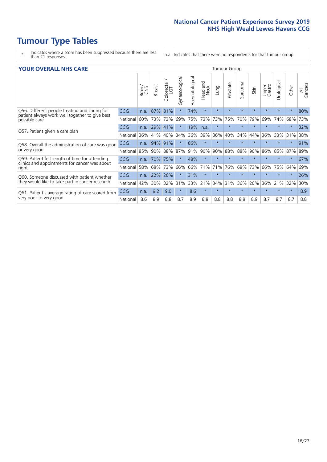- \* Indicates where a score has been suppressed because there are less than 21 responses.
- n.a. Indicates that there were no respondents for that tumour group.

#### **YOUR OVERALL NHS CARE** THE TWO CONTROLLER THE THE THROUP CHANGE THE TUMOUR GROUP

|                                                                                                 |            | Brain | <b>Breast</b> | olorectal.<br>LGT<br>$\cup$ | Gynaecological | Haematological | aad and<br>Neck<br>Head | Lung    | Prostate | arcoma<br>$\sqrt{ }$ | Skin    | Upper<br>Gastro | लु<br>Urologia | Other    | All<br>Cancers |  |  |  |  |
|-------------------------------------------------------------------------------------------------|------------|-------|---------------|-----------------------------|----------------|----------------|-------------------------|---------|----------|----------------------|---------|-----------------|----------------|----------|----------------|--|--|--|--|
| Q56. Different people treating and caring for                                                   | <b>CCG</b> | n.a.  | 87%           | 81%                         |                | 74%            | $\star$                 | $\star$ | $\star$  | $\star$              | $\star$ | $\star$         | $\star$        | $\ast$   | 80%            |  |  |  |  |
| patient always work well together to give best<br>possible care                                 | National   | 60%   | 73%           | 73%                         | 69%            | 75%            | 73%                     | 73%     | 75%      | 70%                  | 79%     | 69%             | 74%            | 68%      | 73%            |  |  |  |  |
| Q57. Patient given a care plan                                                                  | <b>CCG</b> | n.a.  | 29%           | 41%                         |                | 19%            | n.a.                    | $\star$ | $\star$  | $\star$              | $\star$ | $\star$         | $\star$        | $^\star$ | 32%            |  |  |  |  |
|                                                                                                 | National   | 36%   | 41%           | 40%                         | 34%            | 36%            | 39%                     | 36%     | 40%      | 34%                  | 44%     | 36%             | 33%            | 31%      | 38%            |  |  |  |  |
| Q58. Overall the administration of care was good                                                | <b>CCG</b> | n.a.  | 94%           | 91%                         |                | 86%            | $\star$                 | $\star$ | $\star$  | $\star$              | $\star$ |                 |                | $\star$  | 91%            |  |  |  |  |
| or very good                                                                                    | National   | 85%   | 90%           | 88%                         | 87%            | 91%            | 90%                     | 90%     | 88%      | 88%                  | 90%     | 86%             | 85%            | 87%      | 89%            |  |  |  |  |
| Q59. Patient felt length of time for attending<br>clinics and appointments for cancer was about | CCG        | n.a.  | 70%           | 75%                         |                | 48%            | $\ast$                  | $\star$ | $\star$  | $\star$              | $\star$ |                 | $\star$        | $\star$  | 67%            |  |  |  |  |
| right                                                                                           | National   | 58%   | 68%           | 73%                         | 66%            | 66%            | 71%                     | 71%     | 76%      | 68%                  | 73%     | 66%             | 75%            | 64%      | 69%            |  |  |  |  |
| Q60. Someone discussed with patient whether                                                     | <b>CCG</b> | n.a.  | 22%           | 26%                         |                | 31%            | $\star$                 | $\star$ | $\star$  | $\star$              | $\star$ |                 |                | $\star$  | 26%            |  |  |  |  |
| they would like to take part in cancer research                                                 | National   | 42%   | 30%           | 32%                         | 31%            |                | 33% 21%                 | 34%     | 31%      | 36%                  | 20%     | 36%             | 21%            | 32%      | 30%            |  |  |  |  |
| Q61. Patient's average rating of care scored from<br>very poor to very good                     | <b>CCG</b> | n.a.  | 9.2           | 9.0                         | $\star$        | 8.6            | $\star$                 | $\star$ | $\star$  | $\star$              | $\star$ | $\star$         | $\star$        | $\ast$   | 8.9            |  |  |  |  |
|                                                                                                 | National   | 8.6   | 8.9           | 8.8                         | 8.7            | 8.9            | 8.8                     | 8.8     | 8.8      | 8.8                  | 8.9     | 8.7             | 8.7            | 8.7      | 8.8            |  |  |  |  |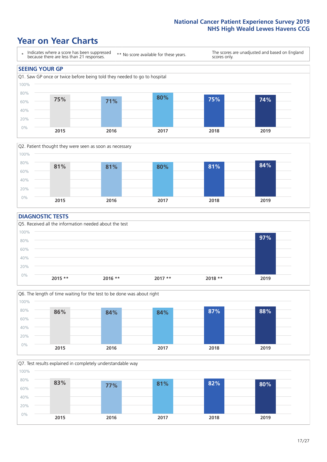## **Year on Year Charts**





#### **DIAGNOSTIC TESTS**





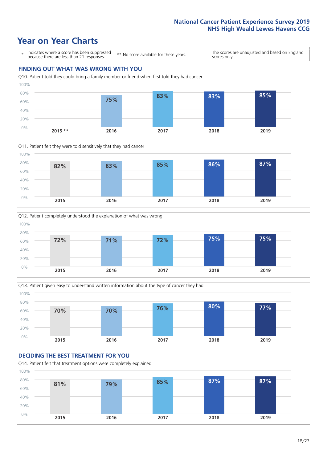







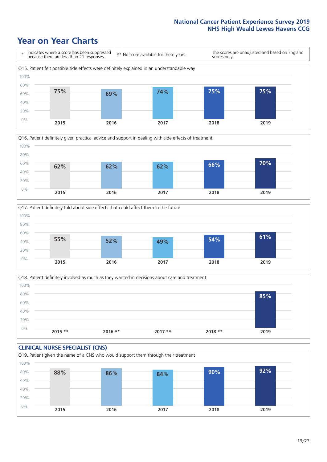





Q18. Patient definitely involved as much as they wanted in decisions about care and treatment  $0%$ 20% 40% 60% 80% 100% **2015 \*\* 2016 \*\* 2017 \*\* 2018 \*\* 2019 85%**

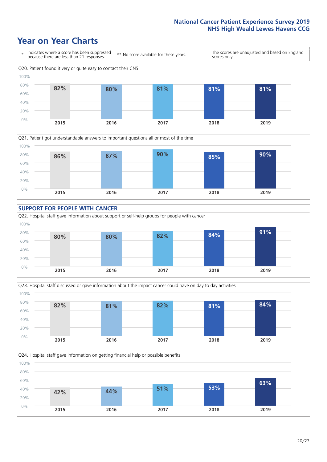









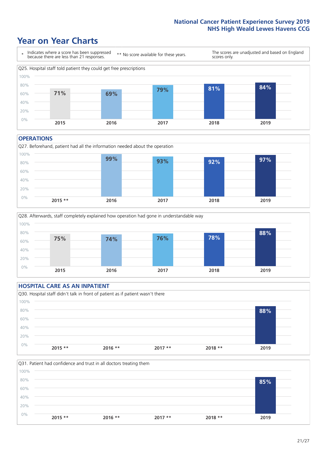### **Year on Year Charts**



#### **OPERATIONS**





#### **HOSPITAL CARE AS AN INPATIENT** Q30. Hospital staff didn't talk in front of patient as if patient wasn't there 0% 20% 40% 60% 80% 100% **2015 \*\* 2016 \*\* 2017 \*\* 2018 \*\* 2019 88%**

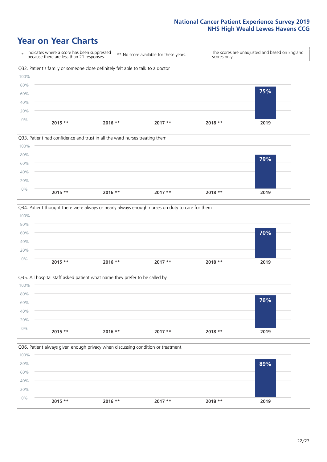







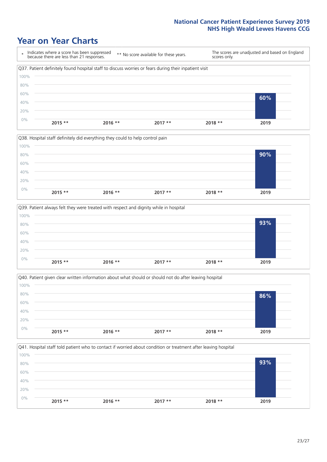







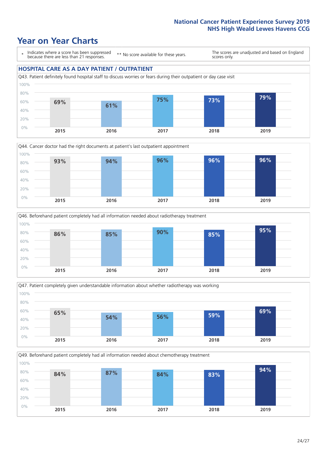### **Year on Year Charts**

\* Indicates where a score has been suppressed because there are less than 21 responses.

\*\* No score available for these years.

The scores are unadjusted and based on England scores only.

#### **HOSPITAL CARE AS A DAY PATIENT / OUTPATIENT**









Q49. Beforehand patient completely had all information needed about chemotherapy treatment

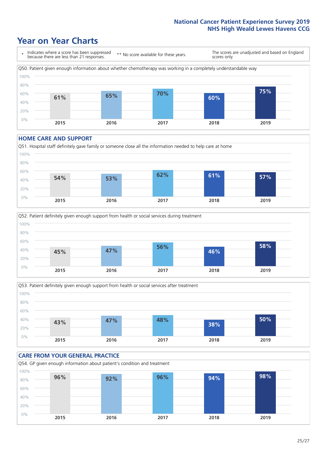### **Year on Year Charts**



#### **HOME CARE AND SUPPORT**







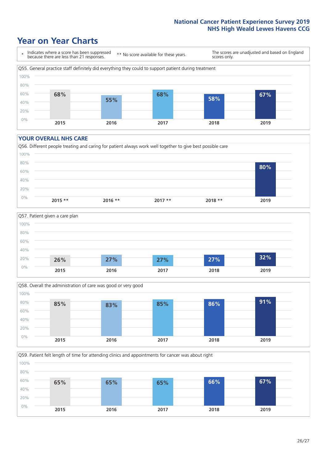## **Year on Year Charts**



#### **YOUR OVERALL NHS CARE**







Q59. Patient felt length of time for attending clinics and appointments for cancer was about right 80% 100%